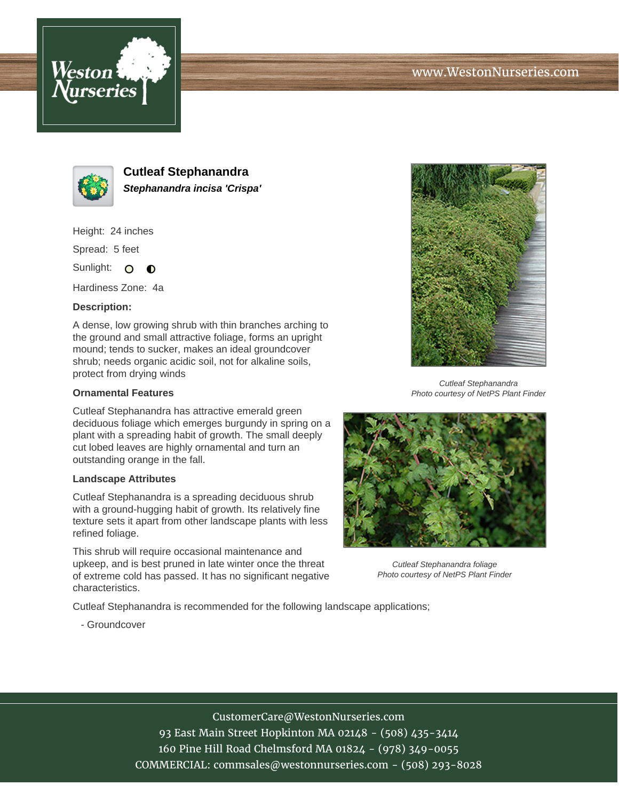



**Cutleaf Stephanandra Stephanandra incisa 'Crispa'**

Height: 24 inches

Spread: 5 feet

Sunlight: O  $\bullet$ 

Hardiness Zone: 4a

## **Description:**

A dense, low growing shrub with thin branches arching to the ground and small attractive foliage, forms an upright mound; tends to sucker, makes an ideal groundcover shrub; needs organic acidic soil, not for alkaline soils, protect from drying winds

## **Ornamental Features**

Cutleaf Stephanandra has attractive emerald green deciduous foliage which emerges burgundy in spring on a plant with a spreading habit of growth. The small deeply cut lobed leaves are highly ornamental and turn an outstanding orange in the fall.

#### **Landscape Attributes**

Cutleaf Stephanandra is a spreading deciduous shrub with a ground-hugging habit of growth. Its relatively fine texture sets it apart from other landscape plants with less refined foliage.

This shrub will require occasional maintenance and upkeep, and is best pruned in late winter once the threat of extreme cold has passed. It has no significant negative characteristics.

Cutleaf Stephanandra is recommended for the following landscape applications;



Cutleaf Stephanandra Photo courtesy of NetPS Plant Finder



Cutleaf Stephanandra foliage Photo courtesy of NetPS Plant Finder

- Groundcover

# CustomerCare@WestonNurseries.com

93 East Main Street Hopkinton MA 02148 - (508) 435-3414 160 Pine Hill Road Chelmsford MA 01824 - (978) 349-0055 COMMERCIAL: commsales@westonnurseries.com - (508) 293-8028